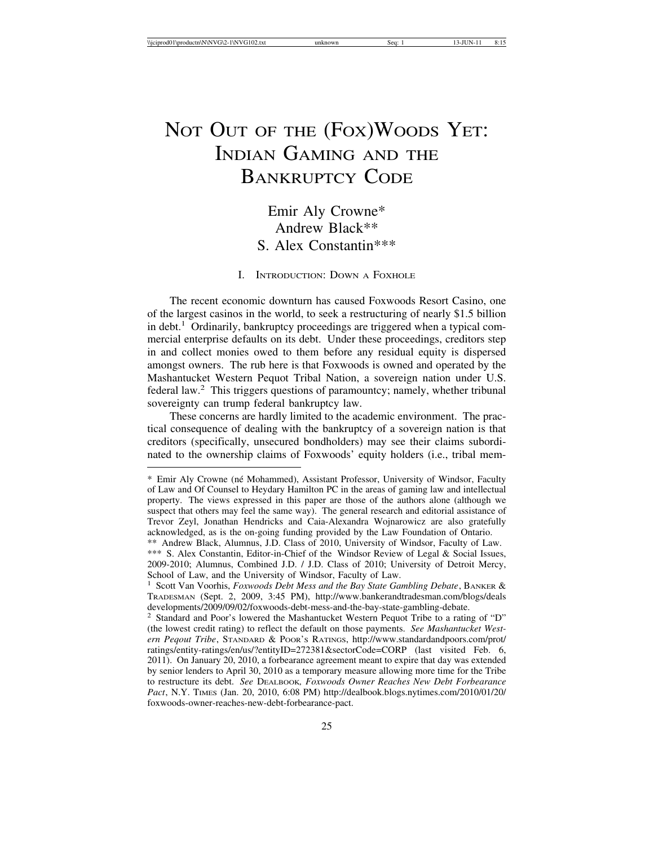# NOT OUT OF THE (FOX) WOODS YET: INDIAN GAMING AND THE BANKRUPTCY CODE

# Emir Aly Crowne\* Andrew Black\*\* S. Alex Constantin\*\*\*

# I. INTRODUCTION: DOWN A FOXHOLE

The recent economic downturn has caused Foxwoods Resort Casino, one of the largest casinos in the world, to seek a restructuring of nearly \$1.5 billion in debt.<sup>1</sup> Ordinarily, bankruptcy proceedings are triggered when a typical commercial enterprise defaults on its debt. Under these proceedings, creditors step in and collect monies owed to them before any residual equity is dispersed amongst owners. The rub here is that Foxwoods is owned and operated by the Mashantucket Western Pequot Tribal Nation, a sovereign nation under U.S. federal law.2 This triggers questions of paramountcy; namely, whether tribunal sovereignty can trump federal bankruptcy law.

These concerns are hardly limited to the academic environment. The practical consequence of dealing with the bankruptcy of a sovereign nation is that creditors (specifically, unsecured bondholders) may see their claims subordinated to the ownership claims of Foxwoods' equity holders (i.e., tribal mem-

<sup>\*</sup> Emir Aly Crowne (n´e Mohammed), Assistant Professor, University of Windsor, Faculty of Law and Of Counsel to Heydary Hamilton PC in the areas of gaming law and intellectual property. The views expressed in this paper are those of the authors alone (although we suspect that others may feel the same way). The general research and editorial assistance of Trevor Zeyl, Jonathan Hendricks and Caia-Alexandra Wojnarowicz are also gratefully acknowledged, as is the on-going funding provided by the Law Foundation of Ontario.

<sup>\*\*</sup> Andrew Black, Alumnus, J.D. Class of 2010, University of Windsor, Faculty of Law. \*\*\* S. Alex Constantin, Editor-in-Chief of the Windsor Review of Legal & Social Issues, 2009-2010; Alumnus, Combined J.D. / J.D. Class of 2010; University of Detroit Mercy, School of Law, and the University of Windsor, Faculty of Law.

<sup>1</sup> Scott Van Voorhis, *Foxwoods Debt Mess and the Bay State Gambling Debate*, BANKER & TRADESMAN (Sept. 2, 2009, 3:45 PM), http://www.bankerandtradesman.com/blogs/deals developments/2009/09/02/foxwoods-debt-mess-and-the-bay-state-gambling-debate.

<sup>2</sup> Standard and Poor's lowered the Mashantucket Western Pequot Tribe to a rating of "D" (the lowest credit rating) to reflect the default on those payments. *See Mashantucket Western Peqout Tribe*, STANDARD & POOR'S RATINGS, http://www.standardandpoors.com/prot/ ratings/entity-ratings/en/us/?entityID=272381&sectorCode=CORP (last visited Feb. 6, 2011). On January 20, 2010, a forbearance agreement meant to expire that day was extended by senior lenders to April 30, 2010 as a temporary measure allowing more time for the Tribe to restructure its debt. *See* DEALBOOK*, Foxwoods Owner Reaches New Debt Forbearance Pact*, N.Y. TIMES (Jan. 20, 2010, 6:08 PM) http://dealbook.blogs.nytimes.com/2010/01/20/ foxwoods-owner-reaches-new-debt-forbearance-pact.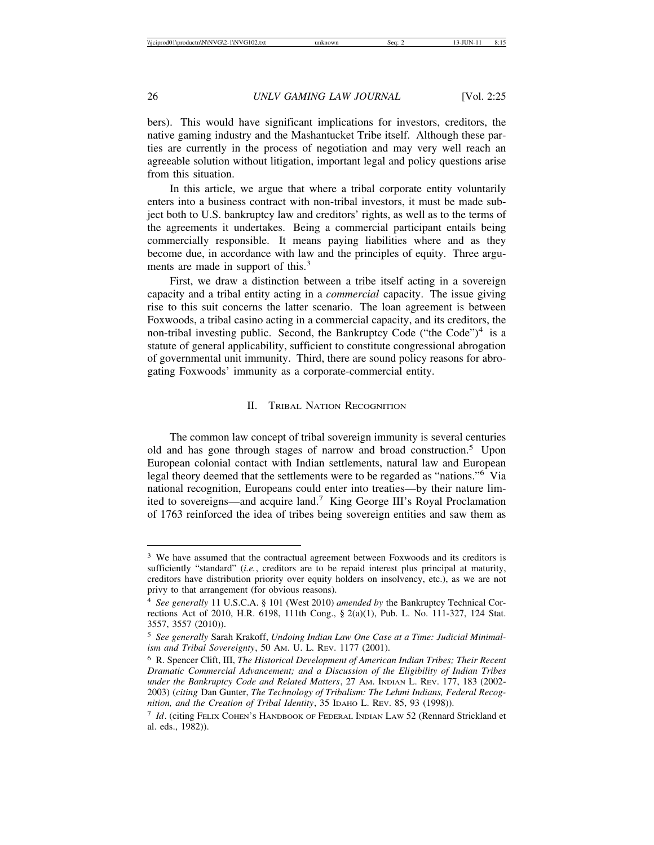bers). This would have significant implications for investors, creditors, the native gaming industry and the Mashantucket Tribe itself. Although these parties are currently in the process of negotiation and may very well reach an agreeable solution without litigation, important legal and policy questions arise from this situation.

In this article, we argue that where a tribal corporate entity voluntarily enters into a business contract with non-tribal investors, it must be made subject both to U.S. bankruptcy law and creditors' rights, as well as to the terms of the agreements it undertakes. Being a commercial participant entails being commercially responsible. It means paying liabilities where and as they become due, in accordance with law and the principles of equity. Three arguments are made in support of this.<sup>3</sup>

First, we draw a distinction between a tribe itself acting in a sovereign capacity and a tribal entity acting in a *commercial* capacity. The issue giving rise to this suit concerns the latter scenario. The loan agreement is between Foxwoods, a tribal casino acting in a commercial capacity, and its creditors, the non-tribal investing public. Second, the Bankruptcy Code ("the Code")<sup>4</sup> is a statute of general applicability, sufficient to constitute congressional abrogation of governmental unit immunity. Third, there are sound policy reasons for abrogating Foxwoods' immunity as a corporate-commercial entity.

#### II. TRIBAL NATION RECOGNITION

The common law concept of tribal sovereign immunity is several centuries old and has gone through stages of narrow and broad construction.5 Upon European colonial contact with Indian settlements, natural law and European legal theory deemed that the settlements were to be regarded as "nations."6 Via national recognition, Europeans could enter into treaties—by their nature limited to sovereigns—and acquire land.7 King George III's Royal Proclamation of 1763 reinforced the idea of tribes being sovereign entities and saw them as

<sup>&</sup>lt;sup>3</sup> We have assumed that the contractual agreement between Foxwoods and its creditors is sufficiently "standard" (*i.e.*, creditors are to be repaid interest plus principal at maturity, creditors have distribution priority over equity holders on insolvency, etc.), as we are not privy to that arrangement (for obvious reasons).

<sup>4</sup> *See generally* 11 U.S.C.A. § 101 (West 2010) *amended by* the Bankruptcy Technical Corrections Act of 2010, H.R. 6198, 111th Cong., § 2(a)(1), Pub. L. No. 111-327, 124 Stat. 3557, 3557 (2010)).

<sup>5</sup> *See generally* Sarah Krakoff, *Undoing Indian Law One Case at a Time: Judicial Minimalism and Tribal Sovereignty*, 50 AM. U. L. REV. 1177 (2001).

<sup>6</sup> R. Spencer Clift, III, *The Historical Development of American Indian Tribes; Their Recent Dramatic Commercial Advancement; and a Discussion of the Eligibility of Indian Tribes under the Bankruptcy Code and Related Matters*, 27 AM. INDIAN L. REV. 177, 183 (2002- 2003) (*citing* Dan Gunter, *The Technology of Tribalism: The Lehmi Indians, Federal Recognition, and the Creation of Tribal Identity*, 35 IDAHO L. REV. 85, 93 (1998)).

<sup>7</sup> *Id*. (citing FELIX COHEN'S HANDBOOK OF FEDERAL INDIAN LAW 52 (Rennard Strickland et al. eds., 1982)).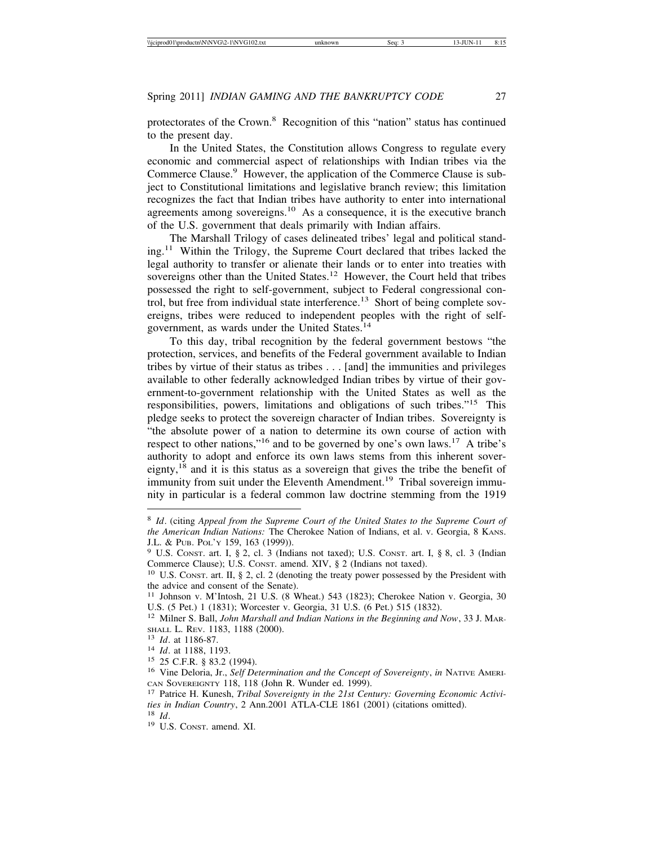protectorates of the Crown.8 Recognition of this "nation" status has continued to the present day.

In the United States, the Constitution allows Congress to regulate every economic and commercial aspect of relationships with Indian tribes via the Commerce Clause.<sup>9</sup> However, the application of the Commerce Clause is subject to Constitutional limitations and legislative branch review; this limitation recognizes the fact that Indian tribes have authority to enter into international agreements among sovereigns.10 As a consequence, it is the executive branch of the U.S. government that deals primarily with Indian affairs.

The Marshall Trilogy of cases delineated tribes' legal and political stand $ing<sup>11</sup>$  Within the Trilogy, the Supreme Court declared that tribes lacked the legal authority to transfer or alienate their lands or to enter into treaties with sovereigns other than the United States.<sup>12</sup> However, the Court held that tribes possessed the right to self-government, subject to Federal congressional control, but free from individual state interference.<sup>13</sup> Short of being complete sovereigns, tribes were reduced to independent peoples with the right of selfgovernment, as wards under the United States.<sup>14</sup>

To this day, tribal recognition by the federal government bestows "the protection, services, and benefits of the Federal government available to Indian tribes by virtue of their status as tribes . . . [and] the immunities and privileges available to other federally acknowledged Indian tribes by virtue of their government-to-government relationship with the United States as well as the responsibilities, powers, limitations and obligations of such tribes."15 This pledge seeks to protect the sovereign character of Indian tribes. Sovereignty is "the absolute power of a nation to determine its own course of action with respect to other nations,"16 and to be governed by one's own laws.17 A tribe's authority to adopt and enforce its own laws stems from this inherent sovereignty,18 and it is this status as a sovereign that gives the tribe the benefit of immunity from suit under the Eleventh Amendment.<sup>19</sup> Tribal sovereign immunity in particular is a federal common law doctrine stemming from the 1919

<sup>8</sup> *Id*. (citing *Appeal from the Supreme Court of the United States to the Supreme Court of the American Indian Nations:* The Cherokee Nation of Indians, et al. v. Georgia, 8 KANS.

J.L. & Pub. Pol'y 159, 163 (1999)).<br><sup>9</sup> U.S. Const. art. I, § 2, cl. 3 (Indians not taxed); U.S. Const. art. I, § 8, cl. 3 (Indian Commerce Clause); U.S. Const. amend. XIV, § 2 (Indians not taxed).

<sup>&</sup>lt;sup>10</sup> U.S. CONST. art. II, § 2, cl. 2 (denoting the treaty power possessed by the President with the advice and consent of the Senate).

<sup>11</sup> Johnson v. M'Intosh, 21 U.S. (8 Wheat.) 543 (1823); Cherokee Nation v. Georgia, 30 U.S. (5 Pet.) 1 (1831); Worcester v. Georgia, 31 U.S. (6 Pet.) 515 (1832).

<sup>12</sup> Milner S. Ball, *John Marshall and Indian Nations in the Beginning and Now*, 33 J. MAR-SHALL L. REV. 1183, 1188 (2000).<br><sup>13</sup> *Id.* at 1186-87.<br><sup>14</sup> *Id.* at 1188, 1193.<br><sup>15</sup> 25 C.F.R. § 83.2 (1994).<br><sup>16</sup> Vine Deloria, Jr., *Self Determination and the Concept of Sovereignty*, *in* NATIVE AMERI-

CAN SOVEREIGNTY 118, 118 (John R. Wunder ed. 1999). <sup>17</sup> Patrice H. Kunesh, *Tribal Sovereignty in the 21st Century: Governing Economic Activities in Indian Country*, 2 Ann.2001 ATLA-CLE 1861 (2001) (citations omitted).<br><sup>18</sup> *Id*. <sup>19</sup> U.S. Const. amend. XI.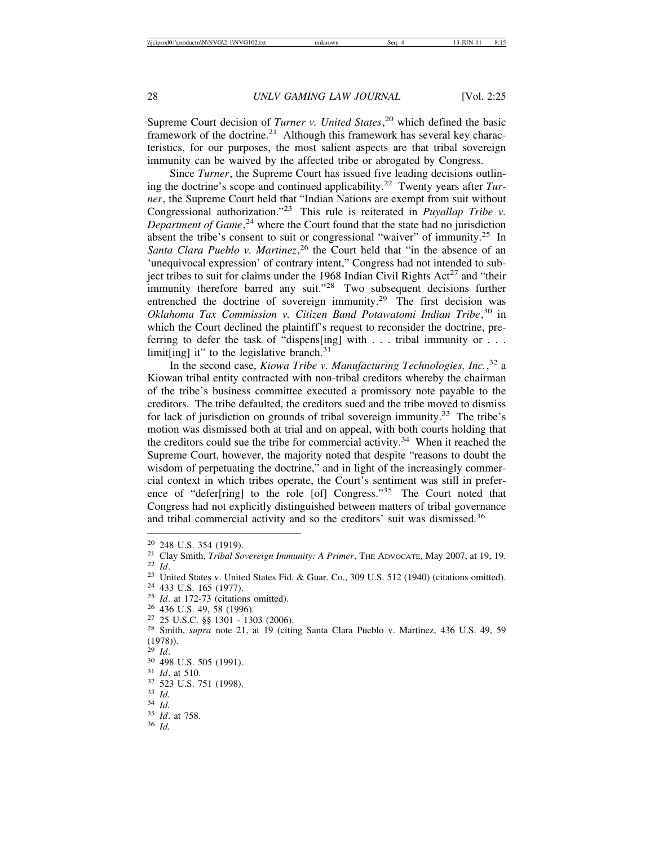Supreme Court decision of *Turner v. United States*, 20 which defined the basic framework of the doctrine.<sup>21</sup> Although this framework has several key characteristics, for our purposes, the most salient aspects are that tribal sovereign immunity can be waived by the affected tribe or abrogated by Congress.

Since *Turner*, the Supreme Court has issued five leading decisions outlining the doctrine's scope and continued applicability.22 Twenty years after *Turner*, the Supreme Court held that "Indian Nations are exempt from suit without Congressional authorization."23 This rule is reiterated in *Puyallap Tribe v. Department of Game*, 24 where the Court found that the state had no jurisdiction absent the tribe's consent to suit or congressional "waiver" of immunity.<sup>25</sup> In Santa Clara Pueblo v. Martinez,<sup>26</sup> the Court held that "in the absence of an 'unequivocal expression' of contrary intent," Congress had not intended to subject tribes to suit for claims under the 1968 Indian Civil Rights  $Act^{27}$  and "their immunity therefore barred any suit."<sup>28</sup> Two subsequent decisions further entrenched the doctrine of sovereign immunity.<sup>29</sup> The first decision was *Oklahoma Tax Commission v. Citizen Band Potawatomi Indian Tribe*, 30 in which the Court declined the plaintiff's request to reconsider the doctrine, preferring to defer the task of "dispens[ing] with . . . tribal immunity or . . . limit[ing] it" to the legislative branch. $31$ 

In the second case, *Kiowa Tribe v. Manufacturing Technologies, Inc.*, 32 a Kiowan tribal entity contracted with non-tribal creditors whereby the chairman of the tribe's business committee executed a promissory note payable to the creditors. The tribe defaulted, the creditors sued and the tribe moved to dismiss for lack of jurisdiction on grounds of tribal sovereign immunity.<sup>33</sup> The tribe's motion was dismissed both at trial and on appeal, with both courts holding that the creditors could sue the tribe for commercial activity.<sup>34</sup> When it reached the Supreme Court, however, the majority noted that despite "reasons to doubt the wisdom of perpetuating the doctrine," and in light of the increasingly commercial context in which tribes operate, the Court's sentiment was still in preference of "defer[ring] to the role [of] Congress."35 The Court noted that Congress had not explicitly distinguished between matters of tribal governance and tribal commercial activity and so the creditors' suit was dismissed.<sup>36</sup>

<sup>&</sup>lt;sup>20</sup> 248 U.S. 354 (1919).<br>
<sup>21</sup> Clay Smith, *Tribal Sovereign Immunity: A Primer*, The ADVOCATE, May 2007, at 19, 19.<br>
<sup>22</sup> *Id.*<br>
<sup>23</sup> United States v. United States Fid. & Guar. Co., 309 U.S. 512 (1940) (citations omitt

 $^{(1978)}_{^{29}$  *Id.* 

<sup>29</sup> *Id*. <sup>30</sup> 498 U.S. 505 (1991). <sup>31</sup> *Id*. at 510. <sup>32</sup> 523 U.S. 751 (1998). <sup>33</sup> *Id.* <sup>34</sup> *Id.* <sup>35</sup> *Id*. at 758. <sup>36</sup> *Id.*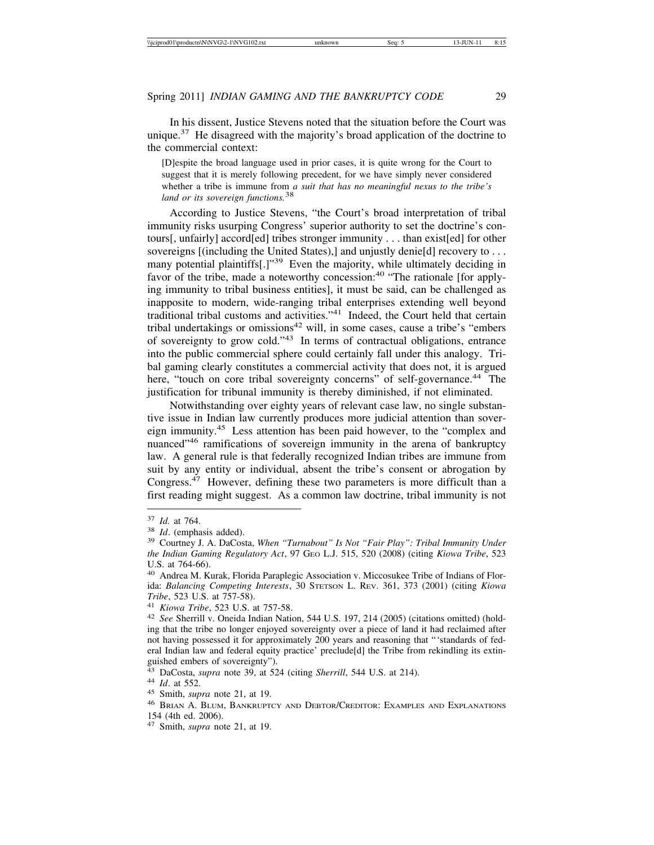In his dissent, Justice Stevens noted that the situation before the Court was unique.<sup>37</sup> He disagreed with the majority's broad application of the doctrine to the commercial context:

[D]espite the broad language used in prior cases, it is quite wrong for the Court to suggest that it is merely following precedent, for we have simply never considered whether a tribe is immune from *a suit that has no meaningful nexus to the tribe's land or its sovereign functions.*<sup>38</sup>

According to Justice Stevens, "the Court's broad interpretation of tribal immunity risks usurping Congress' superior authority to set the doctrine's contours[, unfairly] accord[ed] tribes stronger immunity . . . than exist[ed] for other sovereigns [(including the United States),] and unjustly denie[d] recovery to . . . many potential plaintiffs[.]"<sup>39</sup> Even the majority, while ultimately deciding in favor of the tribe, made a noteworthy concession:<sup>40</sup> "The rationale [for applying immunity to tribal business entities], it must be said, can be challenged as inapposite to modern, wide-ranging tribal enterprises extending well beyond traditional tribal customs and activities."41 Indeed, the Court held that certain tribal undertakings or omissions<sup>42</sup> will, in some cases, cause a tribe's "embers of sovereignty to grow cold."43 In terms of contractual obligations, entrance into the public commercial sphere could certainly fall under this analogy. Tribal gaming clearly constitutes a commercial activity that does not, it is argued here, "touch on core tribal sovereignty concerns" of self-governance.<sup>44</sup> The justification for tribunal immunity is thereby diminished, if not eliminated.

Notwithstanding over eighty years of relevant case law, no single substantive issue in Indian law currently produces more judicial attention than sovereign immunity.45 Less attention has been paid however, to the "complex and nuanced"<sup>46</sup> ramifications of sovereign immunity in the arena of bankruptcy law. A general rule is that federally recognized Indian tribes are immune from suit by any entity or individual, absent the tribe's consent or abrogation by Congress.47 However, defining these two parameters is more difficult than a first reading might suggest. As a common law doctrine, tribal immunity is not

<sup>44</sup> Id. at 552.<br><sup>45</sup> Smith, *supra* note 21, at 19.<br><sup>46</sup> Brian A. Blum, Bankruptcy and Debtor/Creditor: Examples and Explanations 154 (4th ed. 2006).

<sup>37</sup> *Id.* at 764. <sup>38</sup> *Id*. (emphasis added). <sup>39</sup> Courtney J. A. DaCosta, *When "Turnabout" Is Not "Fair Play": Tribal Immunity Under the Indian Gaming Regulatory Act*, 97 GEO L.J. 515, 520 (2008) (citing *Kiowa Tribe*, 523 U.S. at 764-66).

<sup>40</sup> Andrea M. Kurak, Florida Paraplegic Association v. Miccosukee Tribe of Indians of Florida: *Balancing Competing Interests*, 30 STETSON L. REV. 361, 373 (2001) (citing *Kiowa*

*Tribe*, 523 U.S. at 757-58). <sup>41</sup> *Kiowa Tribe*, 523 U.S. at 757-58. <sup>42</sup> *See* Sherrill v. Oneida Indian Nation, 544 U.S. 197, 214 (2005) (citations omitted) (holding that the tribe no longer enjoyed sovereignty over a piece of land it had reclaimed after not having possessed it for approximately 200 years and reasoning that "'standards of federal Indian law and federal equity practice' preclude[d] the Tribe from rekindling its extinguished embers of sovereignty").<br><sup>43</sup> DaCosta, *supra* note 39, at 524 (citing *Sherrill*, 544 U.S. at 214).

<sup>47</sup> Smith, *supra* note 21, at 19.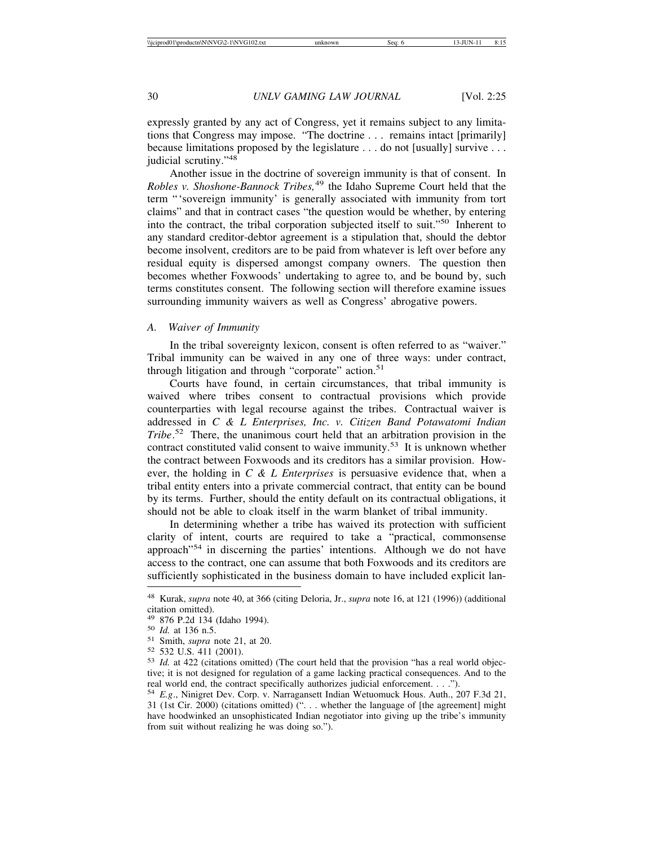expressly granted by any act of Congress, yet it remains subject to any limitations that Congress may impose. "The doctrine . . . remains intact [primarily] because limitations proposed by the legislature . . . do not [usually] survive . . . judicial scrutiny."<sup>48</sup>

Another issue in the doctrine of sovereign immunity is that of consent. In *Robles v. Shoshone-Bannock Tribes,*<sup>49</sup> the Idaho Supreme Court held that the term "'sovereign immunity' is generally associated with immunity from tort claims" and that in contract cases "the question would be whether, by entering into the contract, the tribal corporation subjected itself to suit."50 Inherent to any standard creditor-debtor agreement is a stipulation that, should the debtor become insolvent, creditors are to be paid from whatever is left over before any residual equity is dispersed amongst company owners. The question then becomes whether Foxwoods' undertaking to agree to, and be bound by, such terms constitutes consent. The following section will therefore examine issues surrounding immunity waivers as well as Congress' abrogative powers.

# *A. Waiver of Immunity*

In the tribal sovereignty lexicon, consent is often referred to as "waiver." Tribal immunity can be waived in any one of three ways: under contract, through litigation and through "corporate" action.<sup>51</sup>

Courts have found, in certain circumstances, that tribal immunity is waived where tribes consent to contractual provisions which provide counterparties with legal recourse against the tribes. Contractual waiver is addressed in *C & L Enterprises, Inc. v. Citizen Band Potawatomi Indian Tribe*. 52 There, the unanimous court held that an arbitration provision in the contract constituted valid consent to waive immunity.<sup>53</sup> It is unknown whether the contract between Foxwoods and its creditors has a similar provision. However, the holding in *C & L Enterprises* is persuasive evidence that, when a tribal entity enters into a private commercial contract, that entity can be bound by its terms. Further, should the entity default on its contractual obligations, it should not be able to cloak itself in the warm blanket of tribal immunity.

In determining whether a tribe has waived its protection with sufficient clarity of intent, courts are required to take a "practical, commonsense approach"54 in discerning the parties' intentions. Although we do not have access to the contract, one can assume that both Foxwoods and its creditors are sufficiently sophisticated in the business domain to have included explicit lan-

<sup>48</sup> Kurak, *supra* note 40, at 366 (citing Deloria, Jr., *supra* note 16, at 121 (1996)) (additional citation omitted).<br><sup>49</sup> 876 P.2d 134 (Idaho 1994).

<sup>&</sup>lt;sup>50</sup> *Id.* at 136 n.5.<br><sup>51</sup> Smith, *supra* note 21, at 20.<br><sup>52</sup> 532 U.S. 411 (2001).<br><sup>53</sup> *Id.* at 422 (citations omitted) (The court held that the provision "has a real world objective; it is not designed for regulation of a game lacking practical consequences. And to the real world end, the contract specifically authorizes judicial enforcement. . . .").

<sup>54</sup> *E.g*., Ninigret Dev. Corp. v. Narragansett Indian Wetuomuck Hous. Auth., 207 F.3d 21, 31 (1st Cir. 2000) (citations omitted) (". . . whether the language of [the agreement] might have hoodwinked an unsophisticated Indian negotiator into giving up the tribe's immunity from suit without realizing he was doing so.").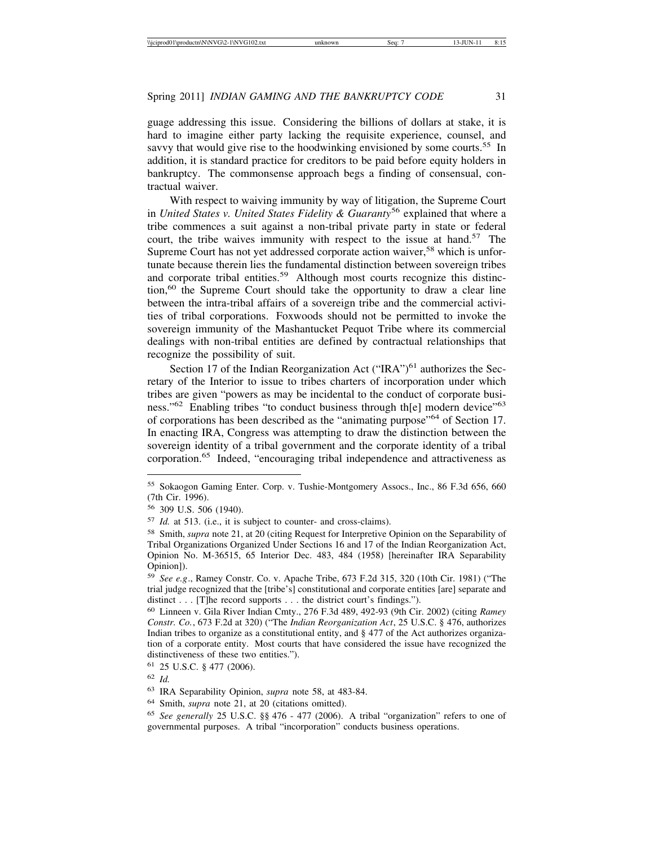guage addressing this issue. Considering the billions of dollars at stake, it is hard to imagine either party lacking the requisite experience, counsel, and savvy that would give rise to the hoodwinking envisioned by some courts.<sup>55</sup> In addition, it is standard practice for creditors to be paid before equity holders in bankruptcy. The commonsense approach begs a finding of consensual, contractual waiver.

With respect to waiving immunity by way of litigation, the Supreme Court in *United States v. United States Fidelity & Guaranty*56 explained that where a tribe commences a suit against a non-tribal private party in state or federal court, the tribe waives immunity with respect to the issue at hand.<sup>57</sup> The Supreme Court has not yet addressed corporate action waiver,<sup>58</sup> which is unfortunate because therein lies the fundamental distinction between sovereign tribes and corporate tribal entities.<sup>59</sup> Although most courts recognize this distinc- $\mu$ <sub>100</sub>,<sup>60</sup> the Supreme Court should take the opportunity to draw a clear line between the intra-tribal affairs of a sovereign tribe and the commercial activities of tribal corporations. Foxwoods should not be permitted to invoke the sovereign immunity of the Mashantucket Pequot Tribe where its commercial dealings with non-tribal entities are defined by contractual relationships that recognize the possibility of suit.

Section 17 of the Indian Reorganization Act ("IRA") $<sup>61</sup>$  authorizes the Sec-</sup> retary of the Interior to issue to tribes charters of incorporation under which tribes are given "powers as may be incidental to the conduct of corporate business."<sup>62</sup> Enabling tribes "to conduct business through th[e] modern device"<sup>63</sup> of corporations has been described as the "animating purpose"64 of Section 17. In enacting IRA, Congress was attempting to draw the distinction between the sovereign identity of a tribal government and the corporate identity of a tribal corporation.65 Indeed, "encouraging tribal independence and attractiveness as

<sup>55</sup> Sokaogon Gaming Enter. Corp. v. Tushie-Montgomery Assocs., Inc., 86 F.3d 656, 660 (7th Cir. 1996).

<sup>56</sup> 309 U.S. 506 (1940).

<sup>57</sup> *Id.* at 513. (i.e., it is subject to counter- and cross-claims).

<sup>58</sup> Smith, *supra* note 21, at 20 (citing Request for Interpretive Opinion on the Separability of Tribal Organizations Organized Under Sections 16 and 17 of the Indian Reorganization Act, Opinion No. M-36515, 65 Interior Dec. 483, 484 (1958) [hereinafter IRA Separability Opinion]).

<sup>59</sup> *See e.g*., Ramey Constr. Co. v. Apache Tribe, 673 F.2d 315, 320 (10th Cir. 1981) ("The trial judge recognized that the [tribe's] constitutional and corporate entities [are] separate and distinct . . . [T]he record supports . . . the district court's findings.").

<sup>60</sup> Linneen v. Gila River Indian Cmty., 276 F.3d 489, 492-93 (9th Cir. 2002) (citing *Ramey Constr. Co.*, 673 F.2d at 320) ("The *Indian Reorganization Act*, 25 U.S.C. § 476, authorizes Indian tribes to organize as a constitutional entity, and § 477 of the Act authorizes organization of a corporate entity. Most courts that have considered the issue have recognized the distinctiveness of these two entities.").

<sup>61</sup> 25 U.S.C. § 477 (2006).

<sup>62</sup> *Id.*

<sup>63</sup> IRA Separability Opinion, *supra* note 58, at 483-84.

<sup>64</sup> Smith, *supra* note 21, at 20 (citations omitted).

<sup>65</sup> *See generally* 25 U.S.C. §§ 476 - 477 (2006). A tribal "organization" refers to one of governmental purposes. A tribal "incorporation" conducts business operations.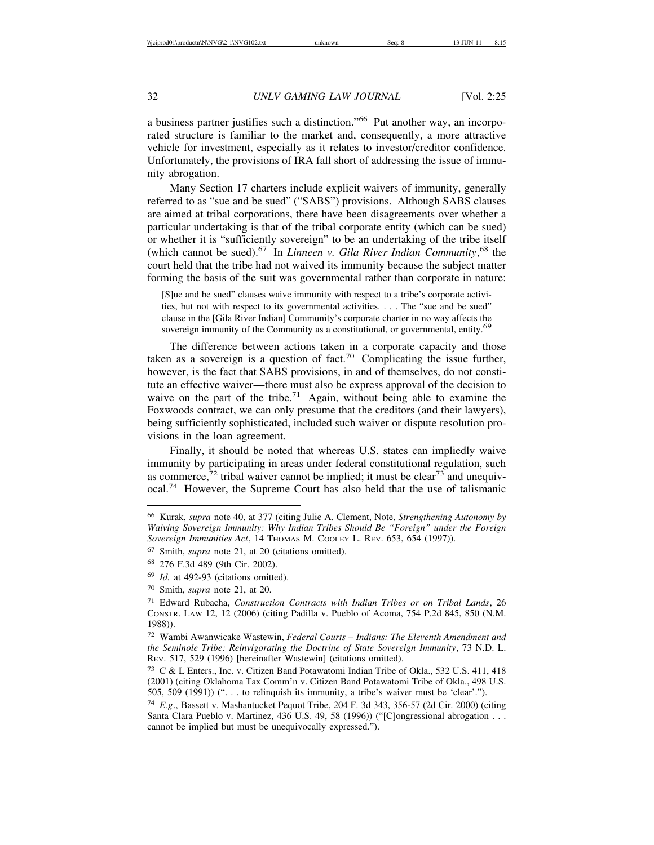a business partner justifies such a distinction."66 Put another way, an incorporated structure is familiar to the market and, consequently, a more attractive vehicle for investment, especially as it relates to investor/creditor confidence. Unfortunately, the provisions of IRA fall short of addressing the issue of immunity abrogation.

Many Section 17 charters include explicit waivers of immunity, generally referred to as "sue and be sued" ("SABS") provisions. Although SABS clauses are aimed at tribal corporations, there have been disagreements over whether a particular undertaking is that of the tribal corporate entity (which can be sued) or whether it is "sufficiently sovereign" to be an undertaking of the tribe itself (which cannot be sued).67 In *Linneen v. Gila River Indian Community*, 68 the court held that the tribe had not waived its immunity because the subject matter forming the basis of the suit was governmental rather than corporate in nature:

[S]ue and be sued" clauses waive immunity with respect to a tribe's corporate activities, but not with respect to its governmental activities. . . . The "sue and be sued" clause in the [Gila River Indian] Community's corporate charter in no way affects the sovereign immunity of the Community as a constitutional, or governmental, entity.<sup>69</sup>

The difference between actions taken in a corporate capacity and those taken as a sovereign is a question of fact.<sup>70</sup> Complicating the issue further, however, is the fact that SABS provisions, in and of themselves, do not constitute an effective waiver—there must also be express approval of the decision to waive on the part of the tribe.<sup>71</sup> Again, without being able to examine the Foxwoods contract, we can only presume that the creditors (and their lawyers), being sufficiently sophisticated, included such waiver or dispute resolution provisions in the loan agreement.

Finally, it should be noted that whereas U.S. states can impliedly waive immunity by participating in areas under federal constitutional regulation, such as commerce,  $\frac{72}{7}$  tribal waiver cannot be implied; it must be clear  $\frac{73}{7}$  and unequivocal.74 However, the Supreme Court has also held that the use of talismanic

<sup>66</sup> Kurak, *supra* note 40, at 377 (citing Julie A. Clement, Note, *Strengthening Autonomy by Waiving Sovereign Immunity: Why Indian Tribes Should Be "Foreign" under the Foreign* Sovereign Immunities Act, 14 THOMAS M. COOLEY L. REV. 653, 654 (1997)).

<sup>67</sup> Smith, *supra* note 21, at 20 (citations omitted).

<sup>68</sup> 276 F.3d 489 (9th Cir. 2002).

<sup>69</sup> *Id.* at 492-93 (citations omitted).

<sup>70</sup> Smith, *supra* note 21, at 20.

<sup>71</sup> Edward Rubacha, *Construction Contracts with Indian Tribes or on Tribal Lands*, 26 CONSTR. LAW 12, 12 (2006) (citing Padilla v. Pueblo of Acoma, 754 P.2d 845, 850 (N.M. 1988)).

<sup>72</sup> Wambi Awanwicake Wastewin, *Federal Courts – Indians: The Eleventh Amendment and the Seminole Tribe: Reinvigorating the Doctrine of State Sovereign Immunity*, 73 N.D. L. REV. 517, 529 (1996) [hereinafter Wastewin] (citations omitted).

<sup>73</sup> C & L Enters., Inc. v. Citizen Band Potawatomi Indian Tribe of Okla., 532 U.S. 411, 418 (2001) (citing Oklahoma Tax Comm'n v. Citizen Band Potawatomi Tribe of Okla., 498 U.S. 505, 509 (1991)) (". . . to relinquish its immunity, a tribe's waiver must be 'clear'.").

<sup>74</sup> *E.g*., Bassett v. Mashantucket Pequot Tribe, 204 F. 3d 343, 356-57 (2d Cir. 2000) (citing Santa Clara Pueblo v. Martinez, 436 U.S. 49, 58 (1996)) ("[C]ongressional abrogation . . . cannot be implied but must be unequivocally expressed.").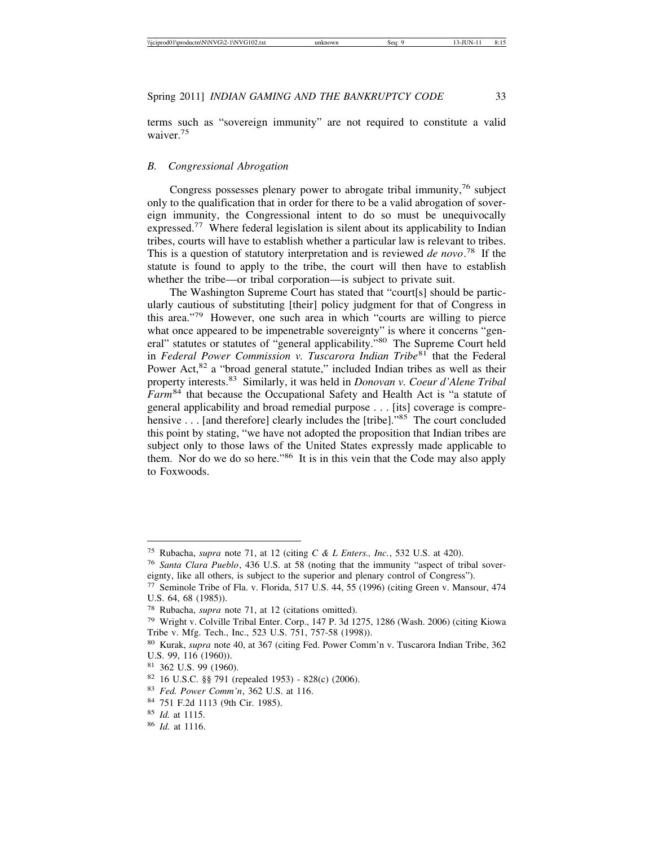terms such as "sovereign immunity" are not required to constitute a valid waiver.<sup>75</sup>

# *B. Congressional Abrogation*

Congress possesses plenary power to abrogate tribal immunity,  $76$  subject only to the qualification that in order for there to be a valid abrogation of sovereign immunity, the Congressional intent to do so must be unequivocally expressed.77 Where federal legislation is silent about its applicability to Indian tribes, courts will have to establish whether a particular law is relevant to tribes. This is a question of statutory interpretation and is reviewed *de novo*. 78 If the statute is found to apply to the tribe, the court will then have to establish whether the tribe—or tribal corporation—is subject to private suit.

The Washington Supreme Court has stated that "court[s] should be particularly cautious of substituting [their] policy judgment for that of Congress in this area."79 However, one such area in which "courts are willing to pierce what once appeared to be impenetrable sovereignty" is where it concerns "general" statutes or statutes of "general applicability."80 The Supreme Court held in *Federal Power Commission v. Tuscarora Indian Tribe*81 that the Federal Power Act,<sup>82</sup> a "broad general statute," included Indian tribes as well as their property interests.83 Similarly, it was held in *Donovan v. Coeur d'Alene Tribal Farm*84 that because the Occupational Safety and Health Act is "a statute of general applicability and broad remedial purpose . . . [its] coverage is comprehensive . . . [and therefore] clearly includes the [tribe]."<sup>85</sup> The court concluded this point by stating, "we have not adopted the proposition that Indian tribes are subject only to those laws of the United States expressly made applicable to them. Nor do we do so here."86 It is in this vein that the Code may also apply to Foxwoods.

<sup>75</sup> Rubacha, *supra* note 71, at 12 (citing *C & L Enters., Inc.*, 532 U.S. at 420).

<sup>76</sup> *Santa Clara Pueblo*, 436 U.S. at 58 (noting that the immunity "aspect of tribal sovereignty, like all others, is subject to the superior and plenary control of Congress").

<sup>77</sup> Seminole Tribe of Fla. v. Florida, 517 U.S. 44, 55 (1996) (citing Green v. Mansour, 474 U.S. 64, 68 (1985)).

<sup>78</sup> Rubacha, *supra* note 71, at 12 (citations omitted).

<sup>79</sup> Wright v. Colville Tribal Enter. Corp., 147 P. 3d 1275, 1286 (Wash. 2006) (citing Kiowa Tribe v. Mfg. Tech., Inc., 523 U.S. 751, 757-58 (1998)).

<sup>80</sup> Kurak, *supra* note 40, at 367 (citing Fed. Power Comm'n v. Tuscarora Indian Tribe, 362 U.S. 99, 116 (1960)).

<sup>81</sup> 362 U.S. 99 (1960).

<sup>82</sup> 16 U.S.C. §§ 791 (repealed 1953) - 828(c) (2006).

<sup>83</sup> *Fed. Power Comm'n*, 362 U.S. at 116.

<sup>84</sup> 751 F.2d 1113 (9th Cir. 1985).

<sup>85</sup> *Id.* at 1115.

<sup>86</sup> *Id.* at 1116.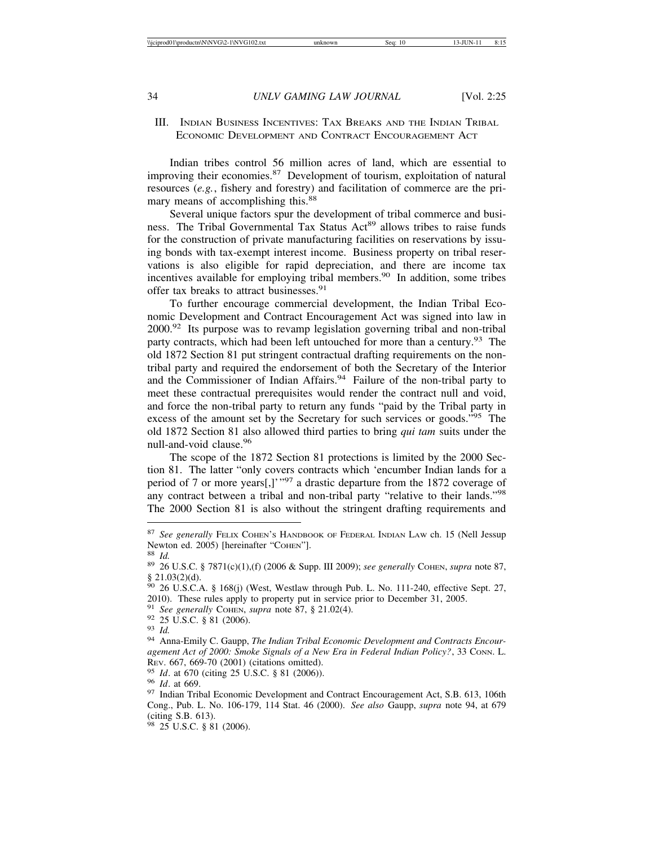# III. INDIAN BUSINESS INCENTIVES: TAX BREAKS AND THE INDIAN TRIBAL ECONOMIC DEVELOPMENT AND CONTRACT ENCOURAGEMENT ACT

Indian tribes control 56 million acres of land, which are essential to improving their economies.<sup>87</sup> Development of tourism, exploitation of natural resources (*e.g.*, fishery and forestry) and facilitation of commerce are the primary means of accomplishing this.<sup>88</sup>

Several unique factors spur the development of tribal commerce and business. The Tribal Governmental Tax Status Act<sup>89</sup> allows tribes to raise funds for the construction of private manufacturing facilities on reservations by issuing bonds with tax-exempt interest income. Business property on tribal reservations is also eligible for rapid depreciation, and there are income tax incentives available for employing tribal members.<sup>90</sup> In addition, some tribes offer tax breaks to attract businesses.<sup>91</sup>

To further encourage commercial development, the Indian Tribal Economic Development and Contract Encouragement Act was signed into law in  $2000.<sup>92</sup>$  Its purpose was to revamp legislation governing tribal and non-tribal party contracts, which had been left untouched for more than a century.<sup>93</sup> The old 1872 Section 81 put stringent contractual drafting requirements on the nontribal party and required the endorsement of both the Secretary of the Interior and the Commissioner of Indian Affairs.<sup>94</sup> Failure of the non-tribal party to meet these contractual prerequisites would render the contract null and void, and force the non-tribal party to return any funds "paid by the Tribal party in excess of the amount set by the Secretary for such services or goods."<sup>95</sup> The old 1872 Section 81 also allowed third parties to bring *qui tam* suits under the null-and-void clause.<sup>96</sup>

The scope of the 1872 Section 81 protections is limited by the 2000 Section 81. The latter "only covers contracts which 'encumber Indian lands for a period of 7 or more years[,]'"97 a drastic departure from the 1872 coverage of any contract between a tribal and non-tribal party "relative to their lands."<sup>98</sup> The 2000 Section 81 is also without the stringent drafting requirements and

<sup>87</sup> See generally FELIX COHEN'S HANDBOOK OF FEDERAL INDIAN LAW ch. 15 (Nell Jessup Newton ed. 2005) [hereinafter "COHEN"].<br><sup>88</sup> *Id.* 89 26 U.S.C. § 7871(c)(1),(f) (2006 & Supp. III 2009); *see generally* COHEN, *supra* note 87,

 $§$  21.03(2)(d).

<sup>90</sup> 26 U.S.C.A. § 168(j) (West, Westlaw through Pub. L. No. 111-240, effective Sept. 27, 2010). These rules apply to property put in service prior to December 31, 2005.<br><sup>91</sup> See generally COHEN, supra note 87, § 21.02(4).

<sup>&</sup>lt;sup>92</sup> 25 U.S.C. § 81 (2006).<br><sup>93</sup> *Id.* 94 Anna-Emily C. Gaupp, *The Indian Tribal Economic Development and Contracts Encouragement Act of 2000: Smoke Signals of a New Era in Federal Indian Policy?*, 33 CONN. L. Rev. 667, 669-70 (2001) (citations omitted).

<sup>&</sup>lt;sup>95</sup> *Id.* at 670 (citing 25 U.S.C. § 81 (2006)). <sup>96</sup> *Id.* at 669. <sup>97</sup> Indian Tribal Economic Development and Contract Encouragement Act, S.B. 613, 106th Cong., Pub. L. No. 106-179, 114 Stat. 46 (2000). *See also* Gaupp, *supra* note 94, at 679 (citing S.B. 613).

<sup>98</sup> 25 U.S.C. § 81 (2006).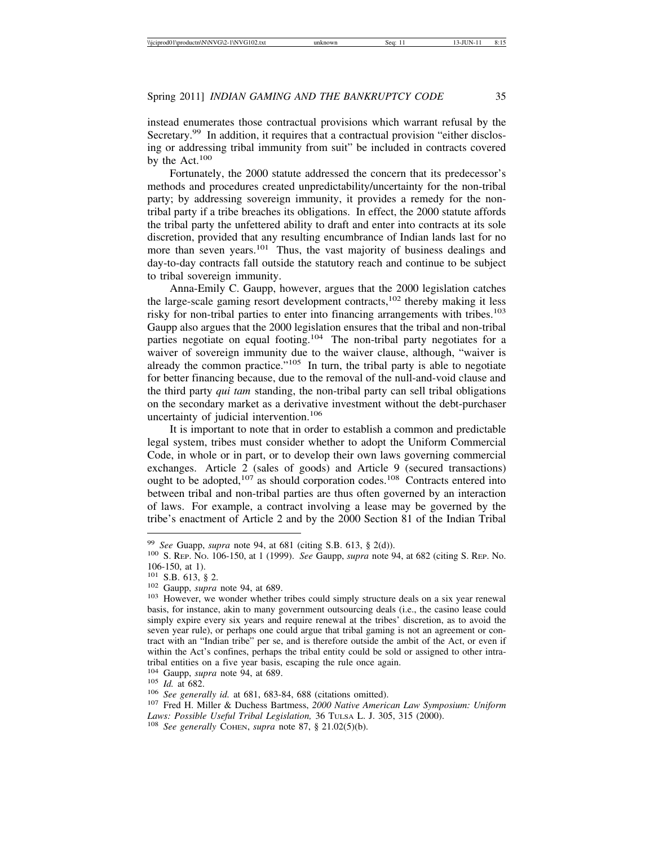instead enumerates those contractual provisions which warrant refusal by the Secretary.<sup>99</sup> In addition, it requires that a contractual provision "either disclosing or addressing tribal immunity from suit" be included in contracts covered by the Act.<sup>100</sup>

Fortunately, the 2000 statute addressed the concern that its predecessor's methods and procedures created unpredictability/uncertainty for the non-tribal party; by addressing sovereign immunity, it provides a remedy for the nontribal party if a tribe breaches its obligations. In effect, the 2000 statute affords the tribal party the unfettered ability to draft and enter into contracts at its sole discretion, provided that any resulting encumbrance of Indian lands last for no more than seven years.<sup>101</sup> Thus, the vast majority of business dealings and day-to-day contracts fall outside the statutory reach and continue to be subject to tribal sovereign immunity.

Anna-Emily C. Gaupp, however, argues that the 2000 legislation catches the large-scale gaming resort development contracts,  $102$  thereby making it less risky for non-tribal parties to enter into financing arrangements with tribes.<sup>103</sup> Gaupp also argues that the 2000 legislation ensures that the tribal and non-tribal parties negotiate on equal footing.<sup>104</sup> The non-tribal party negotiates for a waiver of sovereign immunity due to the waiver clause, although, "waiver is already the common practice. $105$  In turn, the tribal party is able to negotiate for better financing because, due to the removal of the null-and-void clause and the third party *qui tam* standing, the non-tribal party can sell tribal obligations on the secondary market as a derivative investment without the debt-purchaser uncertainty of judicial intervention.<sup>106</sup>

It is important to note that in order to establish a common and predictable legal system, tribes must consider whether to adopt the Uniform Commercial Code, in whole or in part, or to develop their own laws governing commercial exchanges. Article 2 (sales of goods) and Article 9 (secured transactions) ought to be adopted, $107$  as should corporation codes. $108$  Contracts entered into between tribal and non-tribal parties are thus often governed by an interaction of laws. For example, a contract involving a lease may be governed by the tribe's enactment of Article 2 and by the 2000 Section 81 of the Indian Tribal

<sup>99</sup> *See* Guapp, *supra* note 94, at 681 (citing S.B. 613, § 2(d)). <sup>100</sup> S. REP. NO. 106-150, at 1 (1999). *See* Gaupp, *supra* note 94, at 682 (citing S. REP. No. 106-150, at 1).<br> $101$  S.B. 613, § 2.

<sup>&</sup>lt;sup>102</sup> Gaupp, *supra* note 94, at 689. <sup>103</sup> However, we wonder whether tribes could simply structure deals on a six year renewal basis, for instance, akin to many government outsourcing deals (i.e., the casino lease could simply expire every six years and require renewal at the tribes' discretion, as to avoid the seven year rule), or perhaps one could argue that tribal gaming is not an agreement or contract with an "Indian tribe" per se, and is therefore outside the ambit of the Act, or even if within the Act's confines, perhaps the tribal entity could be sold or assigned to other intratribal entities on a five year basis, escaping the rule once again.

<sup>&</sup>lt;sup>104</sup> Gaupp, *supra* note 94, at 689.<br><sup>105</sup> *Id.* at 682.<br><sup>106</sup> *See generally id.* at 681, 683-84, 688 (citations omitted). <sup>107</sup> Fred H. Miller & Duchess Bartmess, *2000 Native American Law Symposium: Uniform Laws: Possible Useful Tribal Legislation,* 36 TULSA L. J. 305, 315 (2000). <sup>108</sup> *See generally* COHEN, *supra* note 87, § 21.02(5)(b).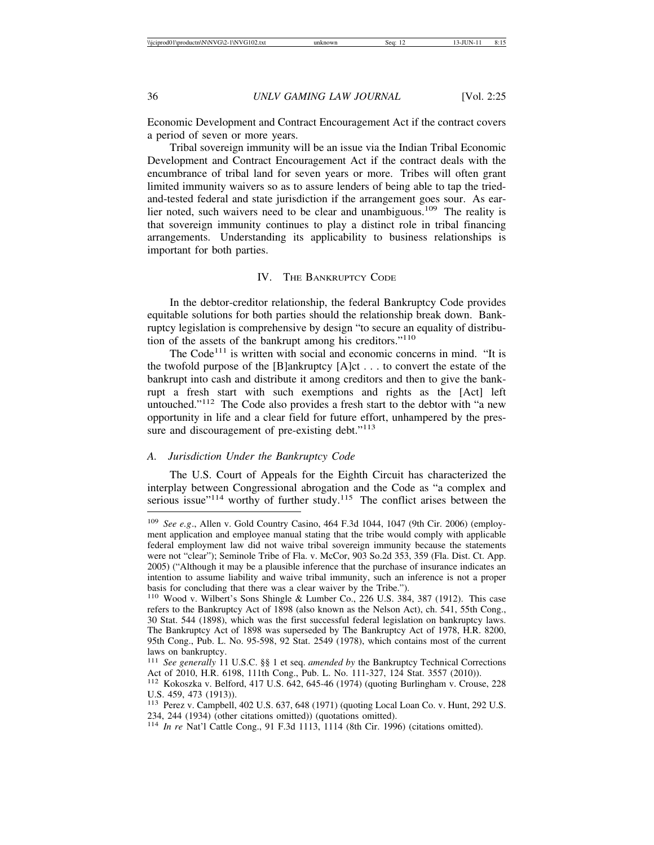Economic Development and Contract Encouragement Act if the contract covers a period of seven or more years.

Tribal sovereign immunity will be an issue via the Indian Tribal Economic Development and Contract Encouragement Act if the contract deals with the encumbrance of tribal land for seven years or more. Tribes will often grant limited immunity waivers so as to assure lenders of being able to tap the triedand-tested federal and state jurisdiction if the arrangement goes sour. As earlier noted, such waivers need to be clear and unambiguous.<sup>109</sup> The reality is that sovereign immunity continues to play a distinct role in tribal financing arrangements. Understanding its applicability to business relationships is important for both parties.

#### IV. THE BANKRUPTCY CODE

In the debtor-creditor relationship, the federal Bankruptcy Code provides equitable solutions for both parties should the relationship break down. Bankruptcy legislation is comprehensive by design "to secure an equality of distribution of the assets of the bankrupt among his creditors."<sup>110</sup>

The  $Code<sup>111</sup>$  is written with social and economic concerns in mind. "It is the twofold purpose of the [B]ankruptcy [A]ct . . . to convert the estate of the bankrupt into cash and distribute it among creditors and then to give the bankrupt a fresh start with such exemptions and rights as the [Act] left untouched."112 The Code also provides a fresh start to the debtor with "a new opportunity in life and a clear field for future effort, unhampered by the pressure and discouragement of pre-existing debt."<sup>113</sup>

#### *A. Jurisdiction Under the Bankruptcy Code*

The U.S. Court of Appeals for the Eighth Circuit has characterized the interplay between Congressional abrogation and the Code as "a complex and serious issue" $114$  worthy of further study.<sup>115</sup> The conflict arises between the

<sup>109</sup> *See e.g*., Allen v. Gold Country Casino, 464 F.3d 1044, 1047 (9th Cir. 2006) (employment application and employee manual stating that the tribe would comply with applicable federal employment law did not waive tribal sovereign immunity because the statements were not "clear"); Seminole Tribe of Fla. v. McCor, 903 So.2d 353, 359 (Fla. Dist. Ct. App. 2005) ("Although it may be a plausible inference that the purchase of insurance indicates an intention to assume liability and waive tribal immunity, such an inference is not a proper basis for concluding that there was a clear waiver by the Tribe.").

<sup>110</sup> Wood v. Wilbert's Sons Shingle & Lumber Co., 226 U.S. 384, 387 (1912). This case refers to the Bankruptcy Act of 1898 (also known as the Nelson Act), ch. 541, 55th Cong., 30 Stat. 544 (1898), which was the first successful federal legislation on bankruptcy laws. The Bankruptcy Act of 1898 was superseded by The Bankruptcy Act of 1978, H.R. 8200, 95th Cong., Pub. L. No. 95-598, 92 Stat. 2549 (1978), which contains most of the current laws on bankruptcy.

<sup>111</sup> *See generally* 11 U.S.C. §§ 1 et seq. *amended by* the Bankruptcy Technical Corrections Act of 2010, H.R. 6198, 111th Cong., Pub. L. No. 111-327, 124 Stat. 3557 (2010)).

<sup>112</sup> Kokoszka v. Belford, 417 U.S. 642, 645-46 (1974) (quoting Burlingham v. Crouse, 228 U.S. 459, 473 (1913)).

<sup>113</sup> Perez v. Campbell, 402 U.S. 637, 648 (1971) (quoting Local Loan Co. v. Hunt, 292 U.S. 234, 244 (1934) (other citations omitted)) (quotations omitted).

<sup>114</sup> *In re* Nat'l Cattle Cong., 91 F.3d 1113, 1114 (8th Cir. 1996) (citations omitted).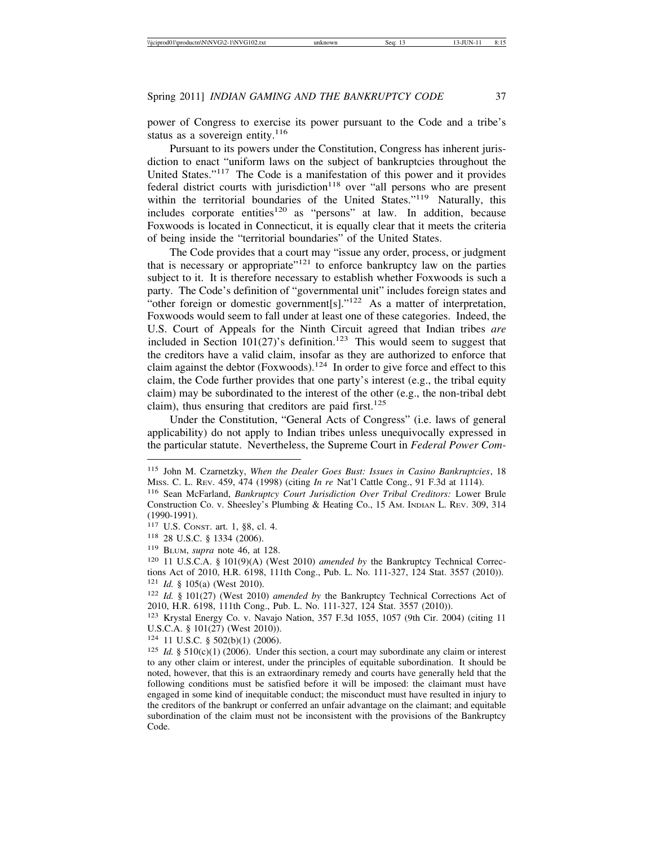power of Congress to exercise its power pursuant to the Code and a tribe's status as a sovereign entity. $116$ 

Pursuant to its powers under the Constitution, Congress has inherent jurisdiction to enact "uniform laws on the subject of bankruptcies throughout the United States."117 The Code is a manifestation of this power and it provides federal district courts with jurisdiction<sup>118</sup> over "all persons who are present within the territorial boundaries of the United States."119 Naturally, this includes corporate entities<sup>120</sup> as "persons" at law. In addition, because Foxwoods is located in Connecticut, it is equally clear that it meets the criteria of being inside the "territorial boundaries" of the United States.

The Code provides that a court may "issue any order, process, or judgment that is necessary or appropriate  $n^{121}$  to enforce bankruptcy law on the parties subject to it. It is therefore necessary to establish whether Foxwoods is such a party. The Code's definition of "governmental unit" includes foreign states and "other foreign or domestic government[s]."<sup>122</sup> As a matter of interpretation, Foxwoods would seem to fall under at least one of these categories. Indeed, the U.S. Court of Appeals for the Ninth Circuit agreed that Indian tribes *are* included in Section  $101(27)$ 's definition.<sup>123</sup> This would seem to suggest that the creditors have a valid claim, insofar as they are authorized to enforce that claim against the debtor (Foxwoods).<sup>124</sup> In order to give force and effect to this claim, the Code further provides that one party's interest (e.g., the tribal equity claim) may be subordinated to the interest of the other (e.g., the non-tribal debt claim), thus ensuring that creditors are paid first.<sup>125</sup>

Under the Constitution, "General Acts of Congress" (i.e. laws of general applicability) do not apply to Indian tribes unless unequivocally expressed in the particular statute. Nevertheless, the Supreme Court in *Federal Power Com-*

<sup>124</sup> 11 U.S.C. § 502(b)(1) (2006).

<sup>115</sup> John M. Czarnetzky, *When the Dealer Goes Bust: Issues in Casino Bankruptcies*, 18 MISS. C. L. REV. 459, 474 (1998) (citing *In re* Nat'l Cattle Cong., 91 F.3d at 1114).

<sup>116</sup> Sean McFarland, *Bankruptcy Court Jurisdiction Over Tribal Creditors:* Lower Brule Construction Co. v. Sheesley's Plumbing & Heating Co., 15 AM. INDIAN L. REV. 309, 314 (1990-1991).

<sup>117</sup> U.S. CONST. art. 1, §8, cl. 4.

<sup>118</sup> 28 U.S.C. § 1334 (2006).

<sup>119</sup> BLUM, *supra* note 46, at 128.

<sup>120</sup> 11 U.S.C.A. § 101(9)(A) (West 2010) *amended by* the Bankruptcy Technical Corrections Act of 2010, H.R. 6198, 111th Cong., Pub. L. No. 111-327, 124 Stat. 3557 (2010)). <sup>121</sup> *Id.* § 105(a) (West 2010).

<sup>122</sup> *Id.* § 101(27) (West 2010) *amended by* the Bankruptcy Technical Corrections Act of 2010, H.R. 6198, 111th Cong., Pub. L. No. 111-327, 124 Stat. 3557 (2010)).

<sup>123</sup> Krystal Energy Co. v. Navajo Nation, 357 F.3d 1055, 1057 (9th Cir. 2004) (citing 11 U.S.C.A. § 101(27) (West 2010)).

<sup>&</sup>lt;sup>125</sup> *Id.* § 510(c)(1) (2006). Under this section, a court may subordinate any claim or interest to any other claim or interest, under the principles of equitable subordination. It should be noted, however, that this is an extraordinary remedy and courts have generally held that the following conditions must be satisfied before it will be imposed: the claimant must have engaged in some kind of inequitable conduct; the misconduct must have resulted in injury to the creditors of the bankrupt or conferred an unfair advantage on the claimant; and equitable subordination of the claim must not be inconsistent with the provisions of the Bankruptcy Code.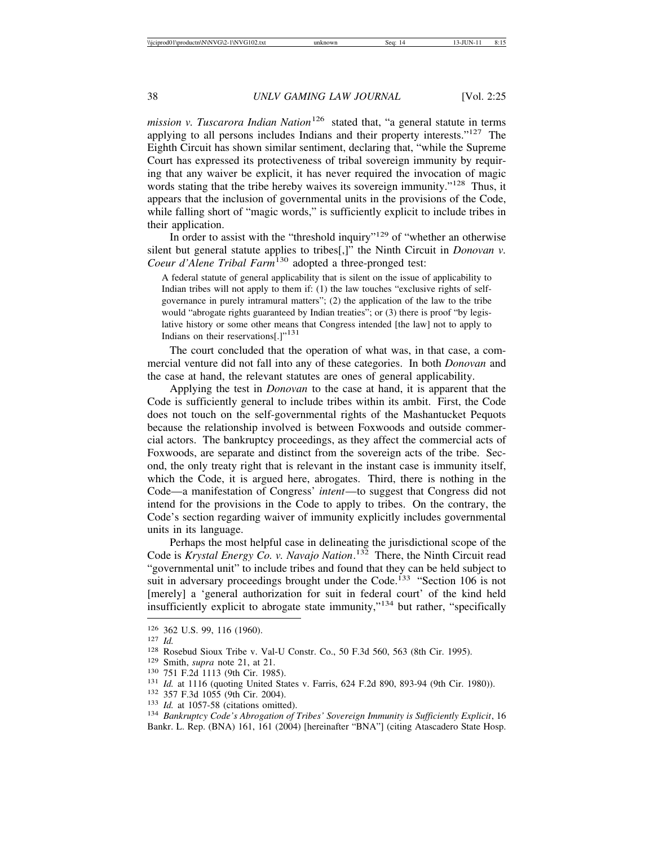*mission v. Tuscarora Indian Nation*<sup>126</sup> stated that, "a general statute in terms applying to all persons includes Indians and their property interests."127 The Eighth Circuit has shown similar sentiment, declaring that, "while the Supreme Court has expressed its protectiveness of tribal sovereign immunity by requiring that any waiver be explicit, it has never required the invocation of magic words stating that the tribe hereby waives its sovereign immunity."<sup>128</sup> Thus, it appears that the inclusion of governmental units in the provisions of the Code, while falling short of "magic words," is sufficiently explicit to include tribes in their application.

In order to assist with the "threshold inquiry"<sup>129</sup> of "whether an otherwise silent but general statute applies to tribes[,]" the Ninth Circuit in *Donovan v. Coeur d'Alene Tribal Farm*130 adopted a three-pronged test:

A federal statute of general applicability that is silent on the issue of applicability to Indian tribes will not apply to them if: (1) the law touches "exclusive rights of selfgovernance in purely intramural matters"; (2) the application of the law to the tribe would "abrogate rights guaranteed by Indian treaties"; or (3) there is proof "by legislative history or some other means that Congress intended [the law] not to apply to Indians on their reservations[.] $"^{131}$ 

The court concluded that the operation of what was, in that case, a commercial venture did not fall into any of these categories. In both *Donovan* and the case at hand, the relevant statutes are ones of general applicability.

Applying the test in *Donovan* to the case at hand, it is apparent that the Code is sufficiently general to include tribes within its ambit. First, the Code does not touch on the self-governmental rights of the Mashantucket Pequots because the relationship involved is between Foxwoods and outside commercial actors. The bankruptcy proceedings, as they affect the commercial acts of Foxwoods, are separate and distinct from the sovereign acts of the tribe. Second, the only treaty right that is relevant in the instant case is immunity itself, which the Code, it is argued here, abrogates. Third, there is nothing in the Code—a manifestation of Congress' *intent*—to suggest that Congress did not intend for the provisions in the Code to apply to tribes. On the contrary, the Code's section regarding waiver of immunity explicitly includes governmental units in its language.

Perhaps the most helpful case in delineating the jurisdictional scope of the Code is *Krystal Energy Co. v. Navajo Nation*. 132 There, the Ninth Circuit read "governmental unit" to include tribes and found that they can be held subject to suit in adversary proceedings brought under the Code.<sup>133</sup> "Section 106 is not [merely] a 'general authorization for suit in federal court' of the kind held insufficiently explicit to abrogate state immunity,"134 but rather, "specifically

<sup>&</sup>lt;sup>126</sup> 362 U.S. 99, 116 (1960).<br>
<sup>127</sup> *Id.*<br>
<sup>128</sup> Rosebud Sioux Tribe v. Val-U Constr. Co., 50 F.3d 560, 563 (8th Cir. 1995).<br>
<sup>129</sup> Smith, *supra* note 21, at 21.<br>
<sup>130</sup> 751 F.2d 1113 (9th Cir. 1985).<br>
<sup>131</sup> *Id.* at 11 Bankr. L. Rep. (BNA) 161, 161 (2004) [hereinafter "BNA"] (citing Atascadero State Hosp.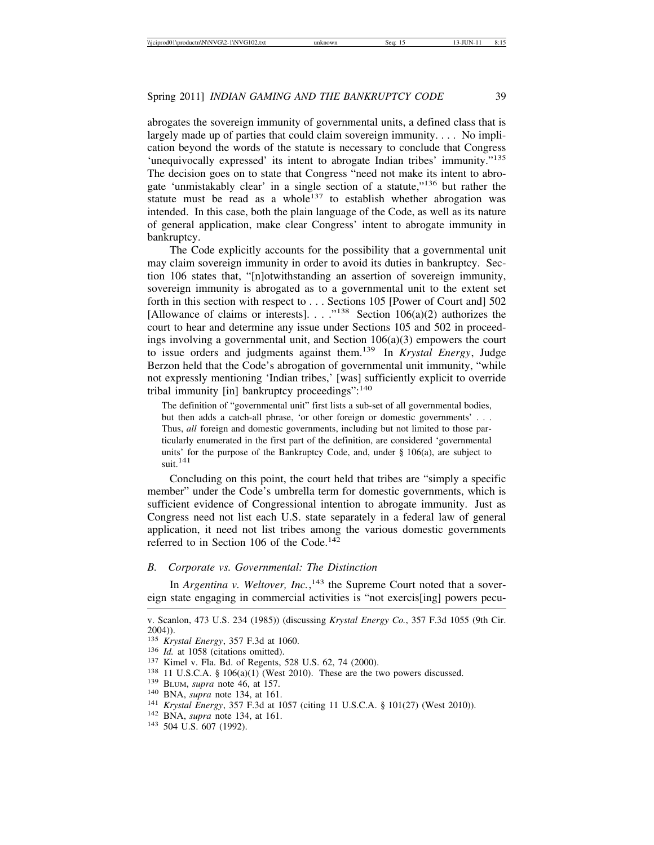abrogates the sovereign immunity of governmental units, a defined class that is largely made up of parties that could claim sovereign immunity. . . . No implication beyond the words of the statute is necessary to conclude that Congress 'unequivocally expressed' its intent to abrogate Indian tribes' immunity."<sup>135</sup> The decision goes on to state that Congress "need not make its intent to abrogate 'unmistakably clear' in a single section of a statute,  $136$  but rather the statute must be read as a whole<sup>137</sup> to establish whether abrogation was intended. In this case, both the plain language of the Code, as well as its nature of general application, make clear Congress' intent to abrogate immunity in bankruptcy.

The Code explicitly accounts for the possibility that a governmental unit may claim sovereign immunity in order to avoid its duties in bankruptcy. Section 106 states that, "[n]otwithstanding an assertion of sovereign immunity, sovereign immunity is abrogated as to a governmental unit to the extent set forth in this section with respect to . . . Sections 105 [Power of Court and] 502 [Allowance of claims or interests]. . . ."138 Section 106(a)(2) authorizes the court to hear and determine any issue under Sections 105 and 502 in proceedings involving a governmental unit, and Section  $106(a)(3)$  empowers the court to issue orders and judgments against them.139 In *Krystal Energy*, Judge Berzon held that the Code's abrogation of governmental unit immunity, "while not expressly mentioning 'Indian tribes,' [was] sufficiently explicit to override tribal immunity  $\lceil \text{in} \rceil$  bankruptcy proceedings":  $\frac{140}{140}$ 

The definition of "governmental unit" first lists a sub-set of all governmental bodies, but then adds a catch-all phrase, 'or other foreign or domestic governments' . . . Thus, *all* foreign and domestic governments, including but not limited to those particularly enumerated in the first part of the definition, are considered 'governmental units' for the purpose of the Bankruptcy Code, and, under § 106(a), are subject to  $\mathrm{suit.}^{141}$ 

Concluding on this point, the court held that tribes are "simply a specific member" under the Code's umbrella term for domestic governments, which is sufficient evidence of Congressional intention to abrogate immunity. Just as Congress need not list each U.S. state separately in a federal law of general application, it need not list tribes among the various domestic governments referred to in Section 106 of the Code.<sup>142</sup>

# *B. Corporate vs. Governmental: The Distinction*

In *Argentina v. Weltover, Inc.*,<sup>143</sup> the Supreme Court noted that a sovereign state engaging in commercial activities is "not exercis[ing] powers pecu-

- <sup>136</sup> *Id.* at 1058 (citations omitted).<br><sup>137</sup> Kimel v. Fla. Bd. of Regents, 528 U.S. 62, 74 (2000).<br><sup>138</sup> 11 U.S.C.A. § 106(a)(1) (West 2010). These are the two powers discussed.<br><sup>139</sup> BLUM, *supra* note 46, at 157.<br><sup>140</sup>
- 

v. Scanlon, 473 U.S. 234 (1985)) (discussing *Krystal Energy Co.*, 357 F.3d 1055 (9th Cir. 2004)).<br><sup>135</sup> *Krystal Energy*, 357 F.3d at 1060.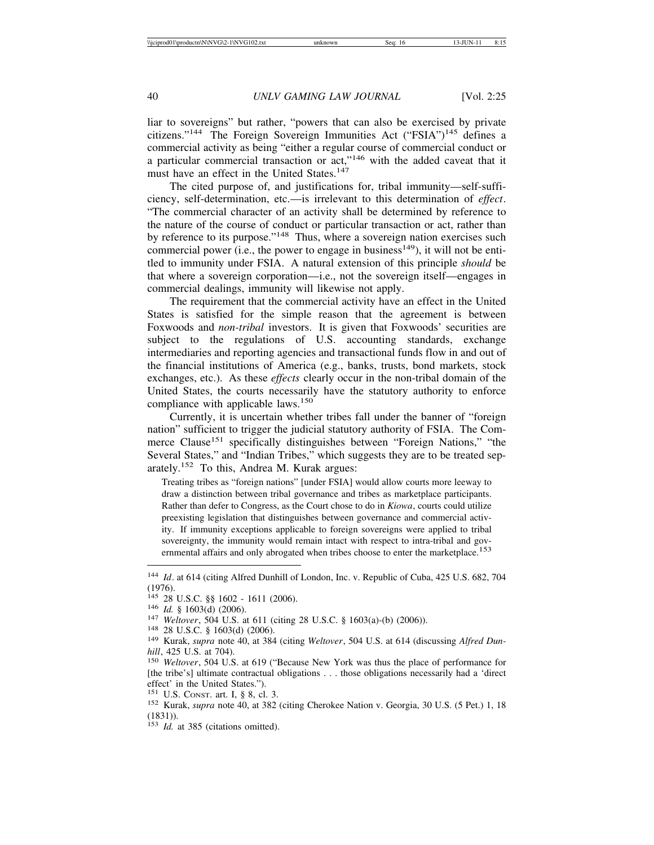liar to sovereigns" but rather, "powers that can also be exercised by private citizens."144 The Foreign Sovereign Immunities Act ("FSIA")145 defines a commercial activity as being "either a regular course of commercial conduct or a particular commercial transaction or act,"146 with the added caveat that it must have an effect in the United States.<sup>147</sup>

The cited purpose of, and justifications for, tribal immunity—self-sufficiency, self-determination, etc.—is irrelevant to this determination of *effect*. "The commercial character of an activity shall be determined by reference to the nature of the course of conduct or particular transaction or act, rather than by reference to its purpose."148 Thus, where a sovereign nation exercises such commercial power (i.e., the power to engage in business<sup>149</sup>), it will not be entitled to immunity under FSIA. A natural extension of this principle *should* be that where a sovereign corporation—i.e., not the sovereign itself—engages in commercial dealings, immunity will likewise not apply.

The requirement that the commercial activity have an effect in the United States is satisfied for the simple reason that the agreement is between Foxwoods and *non-tribal* investors. It is given that Foxwoods' securities are subject to the regulations of U.S. accounting standards, exchange intermediaries and reporting agencies and transactional funds flow in and out of the financial institutions of America (e.g., banks, trusts, bond markets, stock exchanges, etc.). As these *effects* clearly occur in the non-tribal domain of the United States, the courts necessarily have the statutory authority to enforce compliance with applicable laws.<sup>150</sup>

Currently, it is uncertain whether tribes fall under the banner of "foreign nation" sufficient to trigger the judicial statutory authority of FSIA. The Commerce Clause<sup>151</sup> specifically distinguishes between "Foreign Nations," "the Several States," and "Indian Tribes," which suggests they are to be treated separately.152 To this, Andrea M. Kurak argues:

Treating tribes as "foreign nations" [under FSIA] would allow courts more leeway to draw a distinction between tribal governance and tribes as marketplace participants. Rather than defer to Congress, as the Court chose to do in *Kiowa*, courts could utilize preexisting legislation that distinguishes between governance and commercial activity. If immunity exceptions applicable to foreign sovereigns were applied to tribal sovereignty, the immunity would remain intact with respect to intra-tribal and governmental affairs and only abrogated when tribes choose to enter the marketplace.<sup>153</sup>

<sup>&</sup>lt;sup>144</sup> *Id.* at 614 (citing Alfred Dunhill of London, Inc. v. Republic of Cuba, 425 U.S. 682, 704  $(1976)$ .<br><sup>145</sup> 28 U.S.C. §§ 1602 - 1611 (2006).

<sup>&</sup>lt;sup>146</sup> *Id.* § 1603(d) (2006).<br><sup>147</sup> *Weltover*, 504 U.S. at 611 (citing 28 U.S.C. § 1603(a)-(b) (2006)).<br><sup>148</sup> 28 U.S.C. § 1603(d) (2006).<br><sup>149</sup> Kurak, *supra* note 40, at 384 (citing *Weltover*, 504 U.S. at 614 (discussi *hill*, 425 U.S. at 704).<br><sup>150</sup> *Weltover*, 504 U.S. at 619 ("Because New York was thus the place of performance for

<sup>[</sup>the tribe's] ultimate contractual obligations . . . those obligations necessarily had a 'direct effect' in the United States.").<br><sup>151</sup> U.S. CONST. art. I, § 8, cl. 3.

<sup>&</sup>lt;sup>152</sup> Kurak, *supra* note 40, at 382 (citing Cherokee Nation v. Georgia, 30 U.S. (5 Pet.) 1, 18 (1831)).

<sup>&</sup>lt;sup>153</sup> *Id.* at 385 (citations omitted).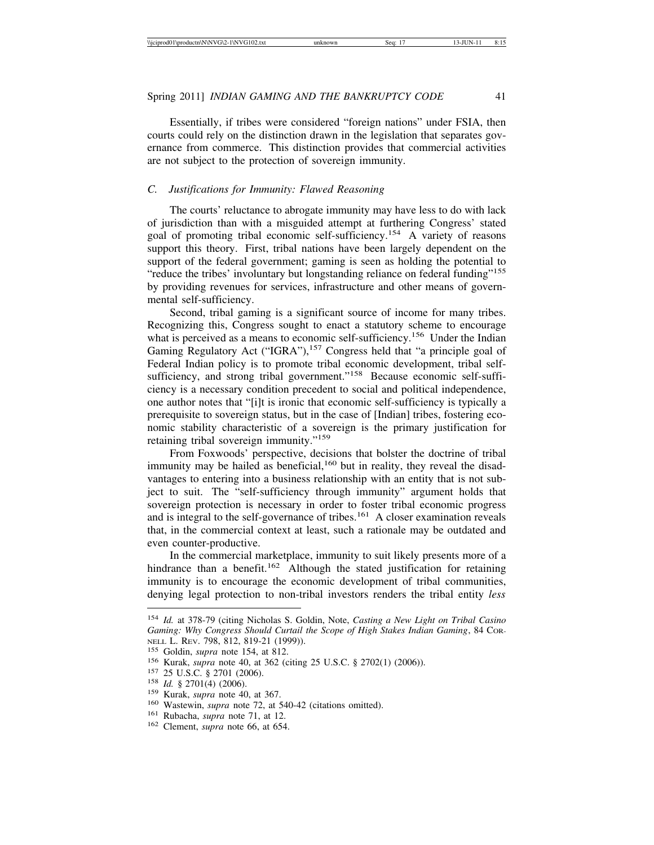Essentially, if tribes were considered "foreign nations" under FSIA, then courts could rely on the distinction drawn in the legislation that separates governance from commerce. This distinction provides that commercial activities are not subject to the protection of sovereign immunity.

#### *C. Justifications for Immunity: Flawed Reasoning*

The courts' reluctance to abrogate immunity may have less to do with lack of jurisdiction than with a misguided attempt at furthering Congress' stated goal of promoting tribal economic self-sufficiency.154 A variety of reasons support this theory. First, tribal nations have been largely dependent on the support of the federal government; gaming is seen as holding the potential to "reduce the tribes' involuntary but longstanding reliance on federal funding"<sup>155</sup> by providing revenues for services, infrastructure and other means of governmental self-sufficiency.

Second, tribal gaming is a significant source of income for many tribes. Recognizing this, Congress sought to enact a statutory scheme to encourage what is perceived as a means to economic self-sufficiency.<sup>156</sup> Under the Indian Gaming Regulatory Act ("IGRA"),<sup>157</sup> Congress held that "a principle goal of Federal Indian policy is to promote tribal economic development, tribal selfsufficiency, and strong tribal government."<sup>158</sup> Because economic self-sufficiency is a necessary condition precedent to social and political independence, one author notes that "[i]t is ironic that economic self-sufficiency is typically a prerequisite to sovereign status, but in the case of [Indian] tribes, fostering economic stability characteristic of a sovereign is the primary justification for retaining tribal sovereign immunity."<sup>159</sup>

From Foxwoods' perspective, decisions that bolster the doctrine of tribal immunity may be hailed as beneficial, $160$  but in reality, they reveal the disadvantages to entering into a business relationship with an entity that is not subject to suit. The "self-sufficiency through immunity" argument holds that sovereign protection is necessary in order to foster tribal economic progress and is integral to the self-governance of tribes.<sup>161</sup> A closer examination reveals that, in the commercial context at least, such a rationale may be outdated and even counter-productive.

In the commercial marketplace, immunity to suit likely presents more of a hindrance than a benefit.<sup>162</sup> Although the stated justification for retaining immunity is to encourage the economic development of tribal communities, denying legal protection to non-tribal investors renders the tribal entity *less*

<sup>154</sup> *Id.* at 378-79 (citing Nicholas S. Goldin, Note, *Casting a New Light on Tribal Casino Gaming: Why Congress Should Curtail the Scope of High Stakes Indian Gaming*, 84 COR-NELL L. REV. 798, 812, 819-21 (1999)).<br><sup>155</sup> Goldin, *supra* note 154, at 812.<br><sup>156</sup> Kurak, *supra* note 40, at 362 (citing 25 U.S.C. § 2702(1) (2006)).<br><sup>157</sup> 25 U.S.C. § 2701 (2006).<br><sup>158</sup> *Id.* § 2701(4) (2006).<br><sup>159</sup> Ku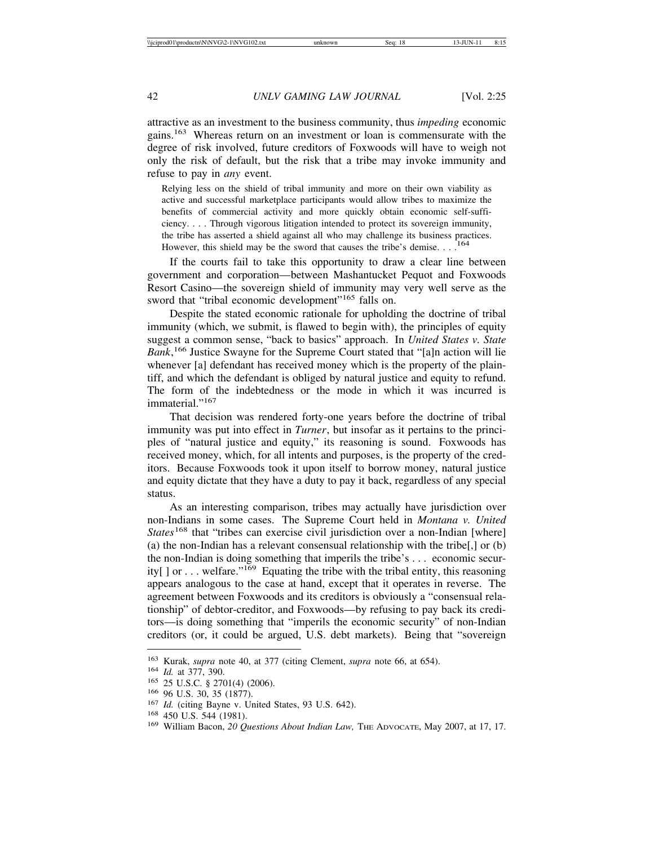attractive as an investment to the business community, thus *impeding* economic gains.<sup>163</sup> Whereas return on an investment or loan is commensurate with the degree of risk involved, future creditors of Foxwoods will have to weigh not only the risk of default, but the risk that a tribe may invoke immunity and refuse to pay in *any* event.

Relying less on the shield of tribal immunity and more on their own viability as active and successful marketplace participants would allow tribes to maximize the benefits of commercial activity and more quickly obtain economic self-sufficiency. . . . Through vigorous litigation intended to protect its sovereign immunity, the tribe has asserted a shield against all who may challenge its business practices. However, this shield may be the sword that causes the tribe's demise. . . .

If the courts fail to take this opportunity to draw a clear line between government and corporation—between Mashantucket Pequot and Foxwoods Resort Casino—the sovereign shield of immunity may very well serve as the sword that "tribal economic development"<sup>165</sup> falls on.

Despite the stated economic rationale for upholding the doctrine of tribal immunity (which, we submit, is flawed to begin with), the principles of equity suggest a common sense, "back to basics" approach. In *United States v. State Bank*, 166 Justice Swayne for the Supreme Court stated that "[a]n action will lie whenever [a] defendant has received money which is the property of the plaintiff, and which the defendant is obliged by natural justice and equity to refund. The form of the indebtedness or the mode in which it was incurred is immaterial."<sup>167</sup>

That decision was rendered forty-one years before the doctrine of tribal immunity was put into effect in *Turner*, but insofar as it pertains to the principles of "natural justice and equity," its reasoning is sound. Foxwoods has received money, which, for all intents and purposes, is the property of the creditors. Because Foxwoods took it upon itself to borrow money, natural justice and equity dictate that they have a duty to pay it back, regardless of any special status.

As an interesting comparison, tribes may actually have jurisdiction over non-Indians in some cases. The Supreme Court held in *Montana v. United States*<sup>168</sup> that "tribes can exercise civil jurisdiction over a non-Indian [where] (a) the non-Indian has a relevant consensual relationship with the tribe[,] or (b) the non-Indian is doing something that imperils the tribe's . . . economic security[] or ... welfare."<sup>169</sup> Equating the tribe with the tribal entity, this reasoning appears analogous to the case at hand, except that it operates in reverse. The agreement between Foxwoods and its creditors is obviously a "consensual relationship" of debtor-creditor, and Foxwoods—by refusing to pay back its creditors—is doing something that "imperils the economic security" of non-Indian creditors (or, it could be argued, U.S. debt markets). Being that "sovereign

<sup>&</sup>lt;sup>163</sup> Kurak, *supra* note 40, at 377 (citing Clement, *supra* note 66, at 654).<br>
<sup>164</sup> *Id.* at 377, 390.<br>
<sup>165</sup> 25 U.S.C. § 2701(4) (2006).<br>
<sup>166</sup> 96 U.S. 30, 35 (1877).<br>
<sup>167</sup> *Id.* (citing Bayne v. United States, 93 U.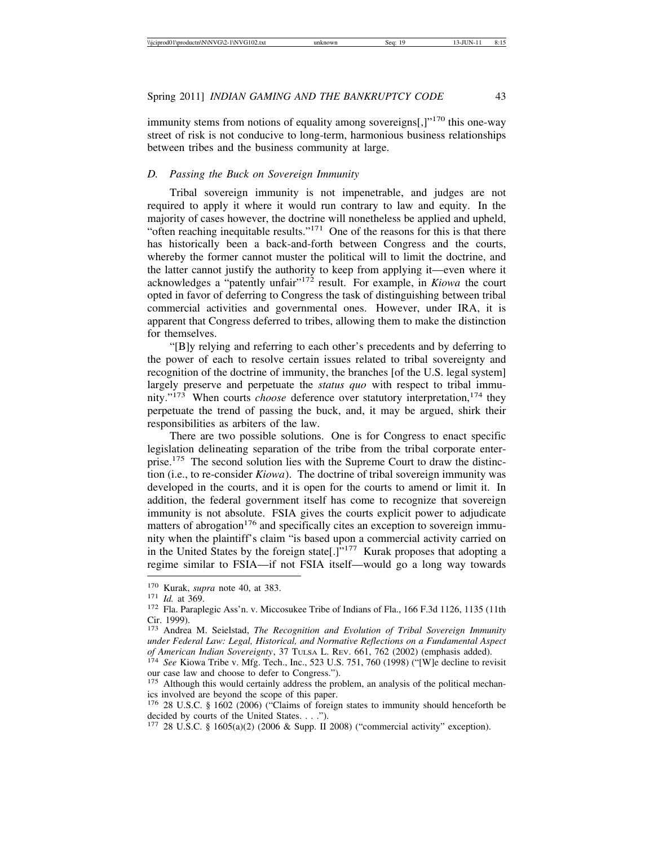immunity stems from notions of equality among sovereigns $[$ , $]$ "<sup>170</sup> this one-way street of risk is not conducive to long-term, harmonious business relationships between tribes and the business community at large.

# *D. Passing the Buck on Sovereign Immunity*

Tribal sovereign immunity is not impenetrable, and judges are not required to apply it where it would run contrary to law and equity. In the majority of cases however, the doctrine will nonetheless be applied and upheld, "often reaching inequitable results."<sup>171</sup> One of the reasons for this is that there has historically been a back-and-forth between Congress and the courts, whereby the former cannot muster the political will to limit the doctrine, and the latter cannot justify the authority to keep from applying it—even where it acknowledges a "patently unfair"172 result. For example, in *Kiowa* the court opted in favor of deferring to Congress the task of distinguishing between tribal commercial activities and governmental ones. However, under IRA, it is apparent that Congress deferred to tribes, allowing them to make the distinction for themselves.

"[B]y relying and referring to each other's precedents and by deferring to the power of each to resolve certain issues related to tribal sovereignty and recognition of the doctrine of immunity, the branches [of the U.S. legal system] largely preserve and perpetuate the *status quo* with respect to tribal immunity."<sup>173</sup> When courts *choose* deference over statutory interpretation,<sup>174</sup> they perpetuate the trend of passing the buck, and, it may be argued, shirk their responsibilities as arbiters of the law.

There are two possible solutions. One is for Congress to enact specific legislation delineating separation of the tribe from the tribal corporate enterprise.175 The second solution lies with the Supreme Court to draw the distinction (i.e., to re-consider *Kiowa*). The doctrine of tribal sovereign immunity was developed in the courts, and it is open for the courts to amend or limit it. In addition, the federal government itself has come to recognize that sovereign immunity is not absolute. FSIA gives the courts explicit power to adjudicate matters of abrogation<sup>176</sup> and specifically cites an exception to sovereign immunity when the plaintiff's claim "is based upon a commercial activity carried on in the United States by the foreign state[.]"177 Kurak proposes that adopting a regime similar to FSIA—if not FSIA itself—would go a long way towards

<sup>&</sup>lt;sup>170</sup> Kurak, *supra* note 40, at 383.<br><sup>171</sup> *Id.* at 369. 172 Fla. Paraplegic Ass'n. v. Miccosukee Tribe of Indians of Fla., 166 F.3d 1126, 1135 (11th Cir. 1999).

<sup>173</sup> Andrea M. Seielstad, *The Recognition and Evolution of Tribal Sovereign Immunity under Federal Law: Legal, Historical, and Normative Reflections on a Fundamental Aspect*

<sup>&</sup>lt;sup>174</sup> See Kiowa Tribe v. Mfg. Tech., Inc., 523 U.S. 751, 760 (1998) ("[W]e decline to revisit our case law and choose to defer to Congress.").

<sup>&</sup>lt;sup>175</sup> Although this would certainly address the problem, an analysis of the political mechanics involved are beyond the scope of this paper.

<sup>176</sup> 28 U.S.C. § 1602 (2006) ("Claims of foreign states to immunity should henceforth be decided by courts of the United States. . . .").

<sup>177</sup> 28 U.S.C. § 1605(a)(2) (2006 & Supp. II 2008) ("commercial activity" exception).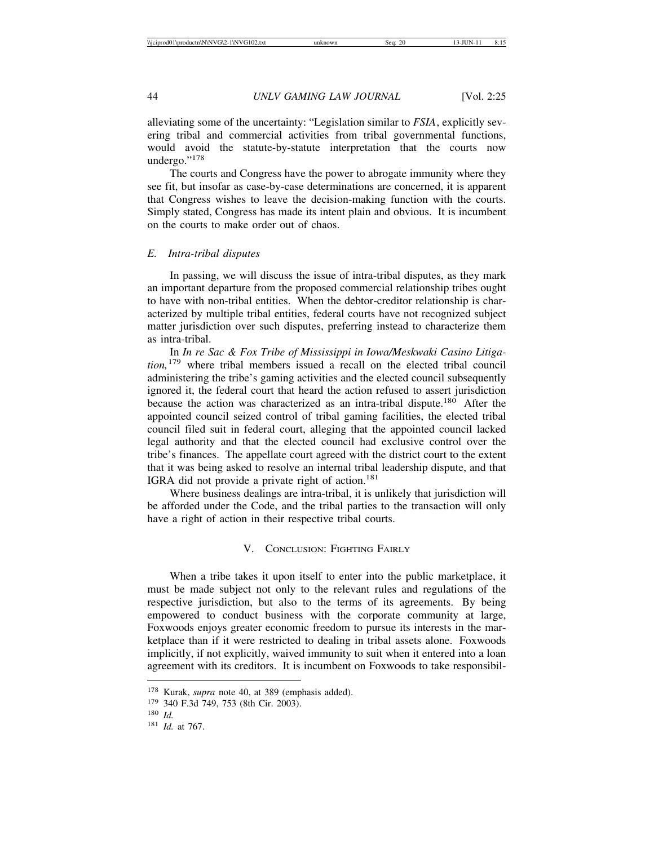alleviating some of the uncertainty: "Legislation similar to *FSIA*, explicitly severing tribal and commercial activities from tribal governmental functions, would avoid the statute-by-statute interpretation that the courts now undergo."<sup>178</sup>

The courts and Congress have the power to abrogate immunity where they see fit, but insofar as case-by-case determinations are concerned, it is apparent that Congress wishes to leave the decision-making function with the courts. Simply stated, Congress has made its intent plain and obvious. It is incumbent on the courts to make order out of chaos.

# *E. Intra-tribal disputes*

In passing, we will discuss the issue of intra-tribal disputes, as they mark an important departure from the proposed commercial relationship tribes ought to have with non-tribal entities. When the debtor-creditor relationship is characterized by multiple tribal entities, federal courts have not recognized subject matter jurisdiction over such disputes, preferring instead to characterize them as intra-tribal.

In *In re Sac & Fox Tribe of Mississippi in Iowa/Meskwaki Casino Litigation,*179 where tribal members issued a recall on the elected tribal council administering the tribe's gaming activities and the elected council subsequently ignored it, the federal court that heard the action refused to assert jurisdiction because the action was characterized as an intra-tribal dispute.<sup>180</sup> After the appointed council seized control of tribal gaming facilities, the elected tribal council filed suit in federal court, alleging that the appointed council lacked legal authority and that the elected council had exclusive control over the tribe's finances. The appellate court agreed with the district court to the extent that it was being asked to resolve an internal tribal leadership dispute, and that IGRA did not provide a private right of action.<sup>181</sup>

Where business dealings are intra-tribal, it is unlikely that jurisdiction will be afforded under the Code, and the tribal parties to the transaction will only have a right of action in their respective tribal courts.

# V. CONCLUSION: FIGHTING FAIRLY

When a tribe takes it upon itself to enter into the public marketplace, it must be made subject not only to the relevant rules and regulations of the respective jurisdiction, but also to the terms of its agreements. By being empowered to conduct business with the corporate community at large, Foxwoods enjoys greater economic freedom to pursue its interests in the marketplace than if it were restricted to dealing in tribal assets alone. Foxwoods implicitly, if not explicitly, waived immunity to suit when it entered into a loan agreement with its creditors. It is incumbent on Foxwoods to take responsibil-

<sup>178</sup> Kurak, *supra* note 40, at 389 (emphasis added).

<sup>179</sup> 340 F.3d 749, 753 (8th Cir. 2003).

<sup>180</sup> *Id.*

<sup>181</sup> *Id.* at 767.